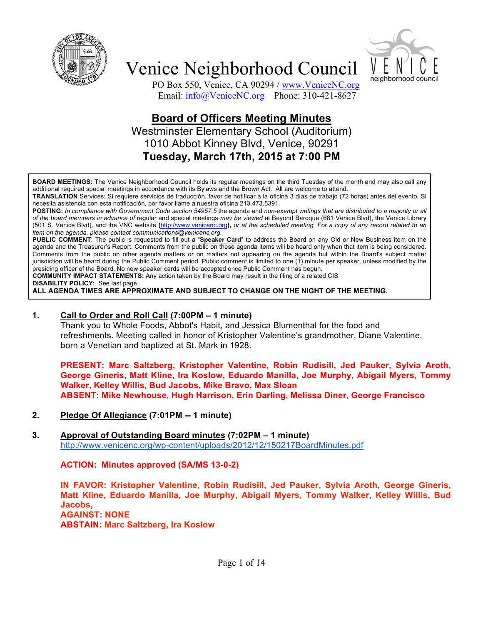



PO Box 550, Venice, CA 90294 / www.VeniceNC.org Email: info@VeniceNC.org Phone: 310-421-8627

### **Board of Officers Meeting Minutes** Westminster Elementary School (Auditorium)

1010 Abbot Kinney Blvd, Venice, 90291 **Tuesday, March 17th, 2015 at 7:00 PM**

**BOARD MEETINGS:** The Venice Neighborhood Council holds its regular meetings on the third Tuesday of the month and may also call any additional required special meetings in accordance with its Bylaws and the Brown Act. All are welcome to attend.

**TRANSLATION** Services: Si requiere servicios de traducción, favor de notificar a la oficina 3 días de trabajo (72 horas) antes del evento. Si necesita asistencia con esta notificación, por favor llame a nuestra oficina 213.473.5391.

**POSTING:** *In compliance with Government Code section 54957.5* the agenda and *non-exempt writings that are distributed to a majority or all of the board members in advance of* regular and special meetings *may be viewed* at Beyond Baroque (681 Venice Blvd), the Venice Library (501 S. Venice Blvd), and the VNC website **(**http://www.venicenc.org**),** *or at the scheduled meeting. For a copy of any record related to an item on the agenda, please contact communications@venicenc.org.*

**PUBLIC COMMENT**: The public is requested to fill out a "**Speaker Card**" to address the Board on any Old or New Business item on the agenda and the Treasurer's Report. Comments from the public on these agenda items will be heard only when that item is being considered. Comments from the public on other agenda matters or on matters not appearing on the agenda but within the Board's subject matter jurisdiction will be heard during the Public Comment period. Public comment is limited to one (1) minute per speaker, unless modified by the presiding officer of the Board. No new speaker cards will be accepted once Public Comment has begun.

**COMMUNITY IMPACT STATEMENTS:** Any action taken by the Board may result in the filing of a related CIS **DISABILITY POLICY:** See last page.

**ALL AGENDA TIMES ARE APPROXIMATE AND SUBJECT TO CHANGE ON THE NIGHT OF THE MEETING.**

#### **1. Call to Order and Roll Call (7:00PM – 1 minute)**

Thank you to Whole Foods, Abbot's Habit, and Jessica Blumenthal for the food and refreshments. Meeting called in honor of Kristopher Valentine's grandmother, Diane Valentine, born a Venetian and baptized at St. Mark in 1928.

**PRESENT: Marc Saltzberg, Kristopher Valentine, Robin Rudisill, Jed Pauker, Sylvia Aroth, George Gineris, Matt Kline, Ira Koslow, Eduardo Manilla, Joe Murphy, Abigail Myers, Tommy Walker, Kelley Willis, Bud Jacobs, Mike Bravo, Max Sloan ABSENT: Mike Newhouse, Hugh Harrison, Erin Darling, Melissa Diner, George Francisco**

**2. Pledge Of Allegiance (7:01PM -- 1 minute)**

#### **3. Approval of Outstanding Board minutes (7:02PM – 1 minute)** http://www.venicenc.org/wp-content/uploads/2012/12/150217BoardMinutes.pdf

#### **ACTION: Minutes approved (SA/MS 13-0-2)**

**IN FAVOR: Kristopher Valentine, Robin Rudisill, Jed Pauker, Sylvia Aroth, George Gineris, Matt Kline, Eduardo Manilla, Joe Murphy, Abigail Myers, Tommy Walker, Kelley Willis, Bud Jacobs, AGAINST: NONE ABSTAIN: Marc Saltzberg, Ira Koslow**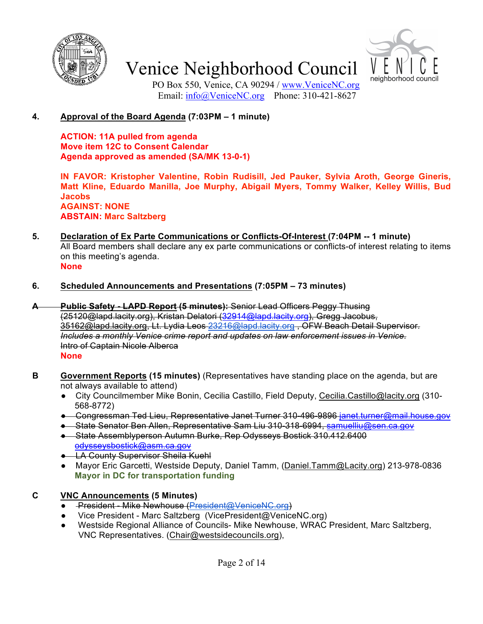



PO Box 550, Venice, CA 90294 / www.VeniceNC.org Email:  $\frac{info(@)$ VeniceNC.org Phone: 310-421-8627

### **4. Approval of the Board Agenda (7:03PM – 1 minute)**

**ACTION: 11A pulled from agenda Move item 12C to Consent Calendar Agenda approved as amended (SA/MK 13-0-1)**

**IN FAVOR: Kristopher Valentine, Robin Rudisill, Jed Pauker, Sylvia Aroth, George Gineris, Matt Kline, Eduardo Manilla, Joe Murphy, Abigail Myers, Tommy Walker, Kelley Willis, Bud Jacobs AGAINST: NONE ABSTAIN: Marc Saltzberg**

- **5. Declaration of Ex Parte Communications or Conflicts-Of-Interest (7:04PM -- 1 minute)**  All Board members shall declare any ex parte communications or conflicts-of interest relating to items on this meeting's agenda. **None**
- **6. Scheduled Announcements and Presentations (7:05PM – 73 minutes)**
- **A Public Safety - LAPD Report (5 minutes):** Senior Lead Officers Peggy Thusing (25120@lapd.lacity.org), Kristan Delatori (32914@lapd.lacity.org), Gregg Jacobus, 35162@lapd.lacity.org, Lt. Lydia Leos 23216@lapd.lacity.org , OFW Beach Detail Supervisor. *Includes a monthly Venice crime report and updates on law enforcement issues in Venice.* Intro of Captain Nicole Alberca **None**
- **B Government Reports (15 minutes)** (Representatives have standing place on the agenda, but are not always available to attend)
	- City Councilmember Mike Bonin, Cecilia Castillo, Field Deputy, Cecilia.Castillo@lacity.org (310- 568-8772)
	- Congressman Ted Lieu, Representative Janet Turner 310-496-9896 janet.turner@mail.house.gov
	- State Senator Ben Allen, Representative Sam Liu 310-318-6994, samuelliu@sen.ca.gov
	- State Assemblyperson Autumn Burke, Rep Odysseys Bostick 310.412.6400 odysseysbostick@asm.ca.gov
	- **LA County Supervisor Sheila Kuehl**
	- Mayor Eric Garcetti, Westside Deputy, Daniel Tamm, (Daniel.Tamm@Lacity.org) 213-978-0836 **Mayor in DC for transportation funding**

### **C VNC Announcements (5 Minutes)**

- **President Mike Newhouse (President@VeniceNC.org)**
- Vice President Marc Saltzberg (VicePresident@VeniceNC.org)
- Westside Regional Alliance of Councils- Mike Newhouse, WRAC President, Marc Saltzberg, VNC Representatives. (Chair@westsidecouncils.org),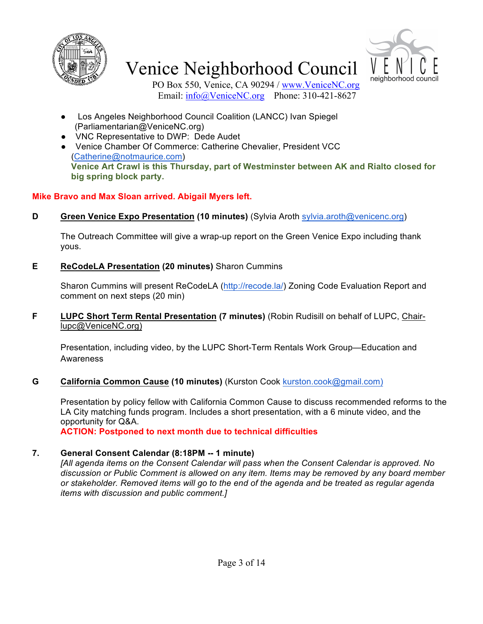



PO Box 550, Venice, CA 90294 / www.VeniceNC.org Email: info@VeniceNC.org Phone: 310-421-8627

- Los Angeles Neighborhood Council Coalition (LANCC) Ivan Spiegel (Parliamentarian@VeniceNC.org)
- VNC Representative to DWP: Dede Audet
- Venice Chamber Of Commerce: Catherine Chevalier, President VCC (Catherine@notmaurice.com) **Venice Art Crawl is this Thursday, part of Westminster between AK and Rialto closed for big spring block party.**

### **Mike Bravo and Max Sloan arrived. Abigail Myers left.**

**D Green Venice Expo Presentation (10 minutes)** (Sylvia Aroth sylvia.aroth@venicenc.org)

The Outreach Committee will give a wrap-up report on the Green Venice Expo including thank yous.

**E ReCodeLA Presentation (20 minutes)** Sharon Cummins

Sharon Cummins will present ReCodeLA (http://recode.la/) Zoning Code Evaluation Report and comment on next steps (20 min)

**F LUPC Short Term Rental Presentation (7 minutes)** (Robin Rudisill on behalf of LUPC, Chairlupc@VeniceNC.org)

Presentation, including video, by the LUPC Short-Term Rentals Work Group—Education and Awareness

**G California Common Cause (10 minutes)** (Kurston Cook kurston.cook@gmail.com)

Presentation by policy fellow with California Common Cause to discuss recommended reforms to the LA City matching funds program. Includes a short presentation, with a 6 minute video, and the opportunity for Q&A.

**ACTION: Postponed to next month due to technical difficulties**

### **7. General Consent Calendar (8:18PM -- 1 minute)**

*[All agenda items on the Consent Calendar will pass when the Consent Calendar is approved. No discussion or Public Comment is allowed on any item. Items may be removed by any board member or stakeholder. Removed items will go to the end of the agenda and be treated as regular agenda items with discussion and public comment.]*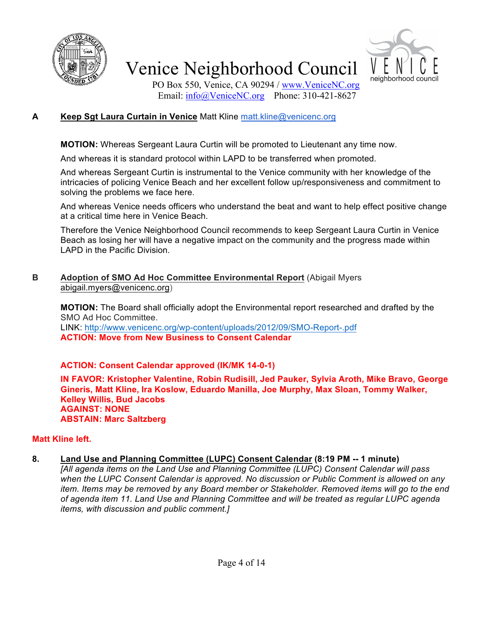



PO Box 550, Venice, CA 90294 / www.VeniceNC.org Email: info@VeniceNC.org Phone: 310-421-8627

### **A Keep Sgt Laura Curtain in Venice** Matt Kline matt.kline@venicenc.org

**MOTION:** Whereas Sergeant Laura Curtin will be promoted to Lieutenant any time now.

And whereas it is standard protocol within LAPD to be transferred when promoted.

And whereas Sergeant Curtin is instrumental to the Venice community with her knowledge of the intricacies of policing Venice Beach and her excellent follow up/responsiveness and commitment to solving the problems we face here.

And whereas Venice needs officers who understand the beat and want to help effect positive change at a critical time here in Venice Beach.

Therefore the Venice Neighborhood Council recommends to keep Sergeant Laura Curtin in Venice Beach as losing her will have a negative impact on the community and the progress made within LAPD in the Pacific Division.

**B Adoption of SMO Ad Hoc Committee Environmental Report** (Abigail Myers abigail.myers@venicenc.org)

**MOTION:** The Board shall officially adopt the Environmental report researched and drafted by the SMO Ad Hoc Committee. LINK: http://www.venicenc.org/wp-content/uploads/2012/09/SMO-Report-.pdf **ACTION: Move from New Business to Consent Calendar**

### **ACTION: Consent Calendar approved (IK/MK 14-0-1)**

**IN FAVOR: Kristopher Valentine, Robin Rudisill, Jed Pauker, Sylvia Aroth, Mike Bravo, George Gineris, Matt Kline, Ira Koslow, Eduardo Manilla, Joe Murphy, Max Sloan, Tommy Walker, Kelley Willis, Bud Jacobs AGAINST: NONE ABSTAIN: Marc Saltzberg**

### **Matt Kline left.**

**8. Land Use and Planning Committee (LUPC) Consent Calendar (8:19 PM -- 1 minute)** *[All agenda items on the Land Use and Planning Committee (LUPC) Consent Calendar will pass when the LUPC Consent Calendar is approved. No discussion or Public Comment is allowed on any item. Items may be removed by any Board member or Stakeholder. Removed items will go to the end of agenda item 11. Land Use and Planning Committee and will be treated as regular LUPC agenda items, with discussion and public comment.]*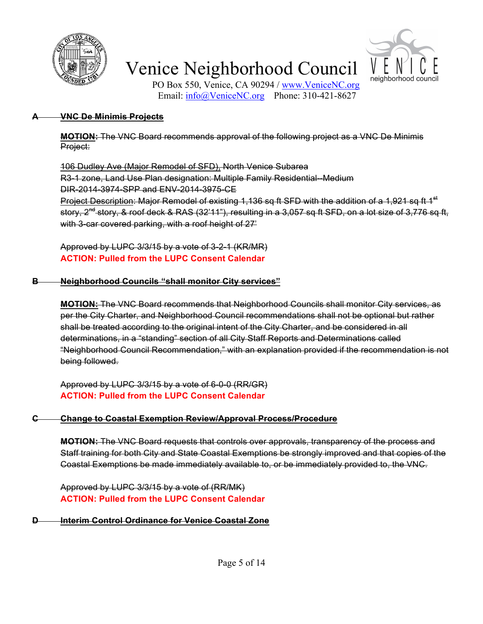



PO Box 550, Venice, CA 90294 / www.VeniceNC.org Email: info@VeniceNC.org Phone: 310-421-8627

#### **A VNC De Minimis Projects**

**MOTION:** The VNC Board recommends approval of the following project as a VNC De Minimis Project:

106 Dudley Ave (Major Remodel of SFD), North Venice Subarea R3-1 zone, Land Use Plan designation: Multiple Family Residential--Medium DIR-2014-3974-SPP and ENV-2014-3975-CE Project Description: Major Remodel of existing 1,136 sq ft SFD with the addition of a 1,921 sq ft 1<sup>st</sup> story, 2<sup>nd</sup> story, & roof deck & RAS (32'11"), resulting in a 3,057 sq ft SFD, on a lot size of 3,776 sq ft, with 3-car covered parking, with a roof height of 27'

Approved by LUPC 3/3/15 by a vote of 3-2-1 (KR/MR) **ACTION: Pulled from the LUPC Consent Calendar**

#### **B Neighborhood Councils "shall monitor City services"**

**MOTION:** The VNC Board recommends that Neighborhood Councils shall monitor City services, as per the City Charter, and Neighborhood Council recommendations shall not be optional but rather shall be treated according to the original intent of the City Charter, and be considered in all determinations, in a "standing" section of all City Staff Reports and Determinations called "Neighborhood Council Recommendation," with an explanation provided if the recommendation is not being followed.

Approved by LUPC 3/3/15 by a vote of 6-0-0 (RR/GR) **ACTION: Pulled from the LUPC Consent Calendar**

#### **C Change to Coastal Exemption Review/Approval Process/Procedure**

**MOTION:** The VNC Board requests that controls over approvals, transparency of the process and Staff training for both City and State Coastal Exemptions be strongly improved and that copies of the Coastal Exemptions be made immediately available to, or be immediately provided to, the VNC.

Approved by LUPC 3/3/15 by a vote of (RR/MK) **ACTION: Pulled from the LUPC Consent Calendar**

#### **Interim Control Ordinance for Venice Coastal Zone**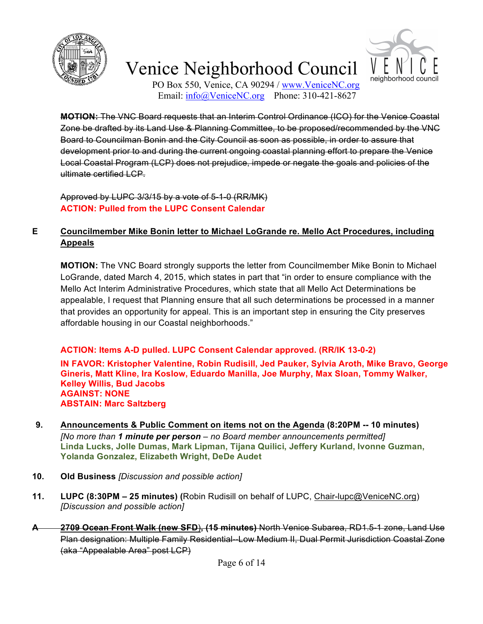



PO Box 550, Venice, CA 90294 / www.VeniceNC.org Email:  $\frac{info(@)$ VeniceNC.org Phone: 310-421-8627

**MOTION:** The VNC Board requests that an Interim Control Ordinance (ICO) for the Venice Coastal Zone be drafted by its Land Use & Planning Committee, to be proposed/recommended by the VNC Board to Councilman Bonin and the City Council as soon as possible, in order to assure that development prior to and during the current ongoing coastal planning effort to prepare the Venice Local Coastal Program (LCP) does not prejudice, impede or negate the goals and policies of the ultimate certified LCP.

Approved by LUPC 3/3/15 by a vote of 5-1-0 (RR/MK) **ACTION: Pulled from the LUPC Consent Calendar**

### **E Councilmember Mike Bonin letter to Michael LoGrande re. Mello Act Procedures, including Appeals**

**MOTION:** The VNC Board strongly supports the letter from Councilmember Mike Bonin to Michael LoGrande, dated March 4, 2015, which states in part that "in order to ensure compliance with the Mello Act Interim Administrative Procedures, which state that all Mello Act Determinations be appealable, I request that Planning ensure that all such determinations be processed in a manner that provides an opportunity for appeal. This is an important step in ensuring the City preserves affordable housing in our Coastal neighborhoods."

### **ACTION: Items A-D pulled. LUPC Consent Calendar approved. (RR/IK 13-0-2)**

**IN FAVOR: Kristopher Valentine, Robin Rudisill, Jed Pauker, Sylvia Aroth, Mike Bravo, George Gineris, Matt Kline, Ira Koslow, Eduardo Manilla, Joe Murphy, Max Sloan, Tommy Walker, Kelley Willis, Bud Jacobs AGAINST: NONE ABSTAIN: Marc Saltzberg**

- **9. Announcements & Public Comment on items not on the Agenda (8:20PM -- 10 minutes)** *[No more than 1 minute per person – no Board member announcements permitted]* **Linda Lucks, Jolle Dumas, Mark Lipman, Tijana Quilici, Jeffery Kurland, Ivonne Guzman, Yolanda Gonzalez, Elizabeth Wright, DeDe Audet**
- **10. Old Business** *[Discussion and possible action]*
- **11. LUPC (8:30PM – 25 minutes) (**Robin Rudisill on behalf of LUPC, Chair-lupc@VeniceNC.org) *[Discussion and possible action]*
- **A 2709 Ocean Front Walk (new SFD**)**, (15 minutes)** North Venice Subarea, RD1.5-1 zone, Land Use Plan designation: Multiple Family Residential--Low Medium II, Dual Permit Jurisdiction Coastal Zone (aka "Appealable Area" post LCP)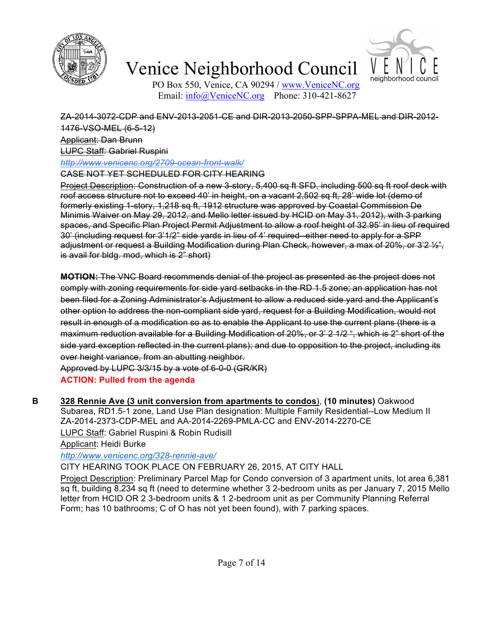



PO Box 550, Venice, CA 90294 / www.VeniceNC.org Email:  $info@V$ eniceNC.org Phone: 310-421-8627

ZA-2014-3072-CDP and ENV-2013-2051-CE and DIR-2013-2050-SPP-SPPA-MEL and DIR-2012- 1476-VSO-MEL (6-5-12) Applicant: Dan Brunn LUPC Staff: Gabriel Ruspini

*http://www.venicenc.org/2709-ocean-front-walk/*

CASE NOT YET SCHEDULED FOR CITY HEARING

Project Description: Construction of a new 3-story, 5,400 sq ft SFD, including 500 sq ft roof deck with roof access structure not to exceed 40' in height, on a vacant 2,502 sq ft, 28' wide lot (demo of formerly existing 1-story, 1,218 sq ft, 1912 structure was approved by Coastal Commission De Minimis Waiver on May 29, 2012, and Mello letter issued by HCID on May 31, 2012), with 3 parking spaces, and Specific Plan Project Permit Adjustment to allow a roof height of 32.95' in lieu of required 30' (including request for 3'1/2" side yards in lieu of 4' required--either need to apply for a SPP adjustment or request a Building Modification during Plan Check, however, a max of 20%, or 3'2 ½", is avail for bldg. mod, which is 2" short)

**MOTION:** The VNC Board recommends denial of the project as presented as the project does not comply with zoning requirements for side yard setbacks in the RD 1.5 zone; an application has not been filed for a Zoning Administrator's Adjustment to allow a reduced side yard and the Applicant's other option to address the non-compliant side yard, request for a Building Modification, would not result in enough of a modification so as to enable the Applicant to use the current plans (there is a maximum reduction available for a Building Modification of 20%, or 3' 2 1/2 ", which is 2" short of the side yard exception reflected in the current plans); and due to opposition to the project, including its over height variance, from an abutting neighbor.

Approved by LUPC 3/3/15 by a vote of 6-0-0 (GR/KR) **ACTION: Pulled from the agenda**

**B 328 Rennie Ave (3 unit conversion from apartments to condos**), **(10 minutes)** Oakwood Subarea, RD1.5-1 zone, Land Use Plan designation: Multiple Family Residential--Low Medium II ZA-2014-2373-CDP-MEL and AA-2014-2269-PMLA-CC and ENV-2014-2270-CE LUPC Staff: Gabriel Ruspini & Robin Rudisill

Applicant: Heidi Burke

*http://www.venicenc.org/328-rennie-ave/*

CITY HEARING TOOK PLACE ON FEBRUARY 26, 2015, AT CITY HALL

Project Description: Preliminary Parcel Map for Condo conversion of 3 apartment units, lot area 6,381 sq ft, building 8,234 sq ft (need to determine whether 3 2-bedroom units as per January 7, 2015 Mello letter from HCID OR 2 3-bedroom units & 1 2-bedroom unit as per Community Planning Referral Form; has 10 bathrooms; C of O has not yet been found), with 7 parking spaces.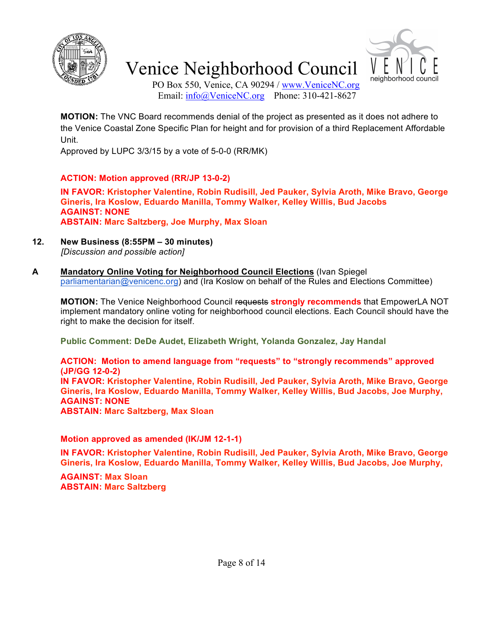



PO Box 550, Venice, CA 90294 / www.VeniceNC.org Email: info@VeniceNC.org Phone: 310-421-8627

**MOTION:** The VNC Board recommends denial of the project as presented as it does not adhere to the Venice Coastal Zone Specific Plan for height and for provision of a third Replacement Affordable Unit.

Approved by LUPC 3/3/15 by a vote of 5-0-0 (RR/MK)

### **ACTION: Motion approved (RR/JP 13-0-2)**

**IN FAVOR: Kristopher Valentine, Robin Rudisill, Jed Pauker, Sylvia Aroth, Mike Bravo, George Gineris, Ira Koslow, Eduardo Manilla, Tommy Walker, Kelley Willis, Bud Jacobs AGAINST: NONE ABSTAIN: Marc Saltzberg, Joe Murphy, Max Sloan**

- **12. New Business (8:55PM – 30 minutes)** *[Discussion and possible action]*
- **A Mandatory Online Voting for Neighborhood Council Elections** (Ivan Spiegel parliamentarian@venicenc.org) and (Ira Koslow on behalf of the Rules and Elections Committee)

**MOTION:** The Venice Neighborhood Council requests **strongly recommends** that EmpowerLA NOT implement mandatory online voting for neighborhood council elections. Each Council should have the right to make the decision for itself.

**Public Comment: DeDe Audet, Elizabeth Wright, Yolanda Gonzalez, Jay Handal**

**ACTION: Motion to amend language from "requests" to "strongly recommends" approved (JP/GG 12-0-2) IN FAVOR: Kristopher Valentine, Robin Rudisill, Jed Pauker, Sylvia Aroth, Mike Bravo, George Gineris, Ira Koslow, Eduardo Manilla, Tommy Walker, Kelley Willis, Bud Jacobs, Joe Murphy, AGAINST: NONE ABSTAIN: Marc Saltzberg, Max Sloan**

### **Motion approved as amended (IK/JM 12-1-1)**

**IN FAVOR: Kristopher Valentine, Robin Rudisill, Jed Pauker, Sylvia Aroth, Mike Bravo, George Gineris, Ira Koslow, Eduardo Manilla, Tommy Walker, Kelley Willis, Bud Jacobs, Joe Murphy,** 

**AGAINST: Max Sloan ABSTAIN: Marc Saltzberg**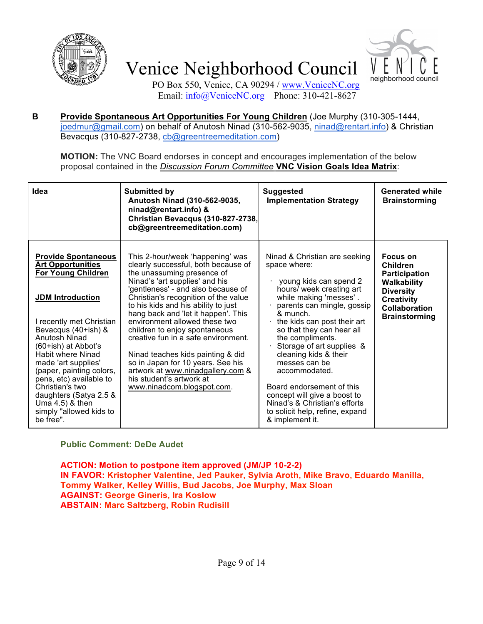



PO Box 550, Venice, CA 90294 / www.VeniceNC.org Email: info@VeniceNC.org Phone: 310-421-8627

**B Provide Spontaneous Art Opportunities For Young Children** (Joe Murphy (310-305-1444, joedmur@gmail.com) on behalf of Anutosh Ninad (310-562-9035, ninad@rentart.info) & Christian Bevacqus (310-827-2738, cb@greentreemeditation.com)

**MOTION:** The VNC Board endorses in concept and encourages implementation of the below proposal contained in the *Discussion Forum Committee* **VNC Vision Goals Idea Matrix**:

| Idea                                                                                                                                                                                                                                                                                                    | <b>Submitted by</b><br>Anutosh Ninad (310-562-9035,<br>ninad@rentart.info) &<br>Christian Bevacqus (310-827-2738,<br>cb@greentreemeditation.com)                                                                                                                                                    | <b>Suggested</b><br><b>Implementation Strategy</b>                                                                                                                                                                                                                                                                       | <b>Generated while</b><br><b>Brainstorming</b>                                                                                                       |
|---------------------------------------------------------------------------------------------------------------------------------------------------------------------------------------------------------------------------------------------------------------------------------------------------------|-----------------------------------------------------------------------------------------------------------------------------------------------------------------------------------------------------------------------------------------------------------------------------------------------------|--------------------------------------------------------------------------------------------------------------------------------------------------------------------------------------------------------------------------------------------------------------------------------------------------------------------------|------------------------------------------------------------------------------------------------------------------------------------------------------|
| <b>Provide Spontaneous</b><br><b>Art Opportunities</b><br><b>For Young Children</b><br><b>JDM</b> Introduction                                                                                                                                                                                          | This 2-hour/week 'happening' was<br>clearly successful, both because of<br>the unassuming presence of<br>Ninad's 'art supplies' and his<br>'gentleness' - and also because of<br>Christian's recognition of the value<br>to his kids and his ability to just<br>hang back and 'let it happen'. This | Ninad & Christian are seeking<br>space where:<br>young kids can spend 2<br>hours/ week creating art<br>while making 'messes'.<br>parents can mingle, gossip<br>& munch.                                                                                                                                                  | Focus on<br>Children<br><b>Participation</b><br><b>Walkability</b><br><b>Diversity</b><br><b>Creativity</b><br>Collaboration<br><b>Brainstorming</b> |
| I recently met Christian<br>Bevacqus (40+ish) &<br>Anutosh Ninad<br>$(60+ish)$ at Abbot's<br>Habit where Ninad<br>made 'art supplies'<br>(paper, painting colors,<br>pens, etc) available to<br>Christian's two<br>daughters (Satya 2.5 &<br>Uma $4.5$ ) & then<br>simply "allowed kids to<br>be free". | environment allowed these two<br>children to enjoy spontaneous<br>creative fun in a safe environment.<br>Ninad teaches kids painting & did<br>so in Japan for 10 years. See his<br>artwork at www.ninadgallery.com &<br>his student's artwork at<br>www.ninadcom.blogspot.com.                      | the kids can post their art<br>so that they can hear all<br>the compliments.<br>Storage of art supplies &<br>cleaning kids & their<br>messes can be<br>accommodated.<br>Board endorsement of this<br>concept will give a boost to<br>Ninad's & Christian's efforts<br>to solicit help, refine, expand<br>& implement it. |                                                                                                                                                      |

**Public Comment: DeDe Audet**

**ACTION: Motion to postpone item approved (JM/JP 10-2-2) IN FAVOR: Kristopher Valentine, Jed Pauker, Sylvia Aroth, Mike Bravo, Eduardo Manilla, Tommy Walker, Kelley Willis, Bud Jacobs, Joe Murphy, Max Sloan AGAINST: George Gineris, Ira Koslow ABSTAIN: Marc Saltzberg, Robin Rudisill**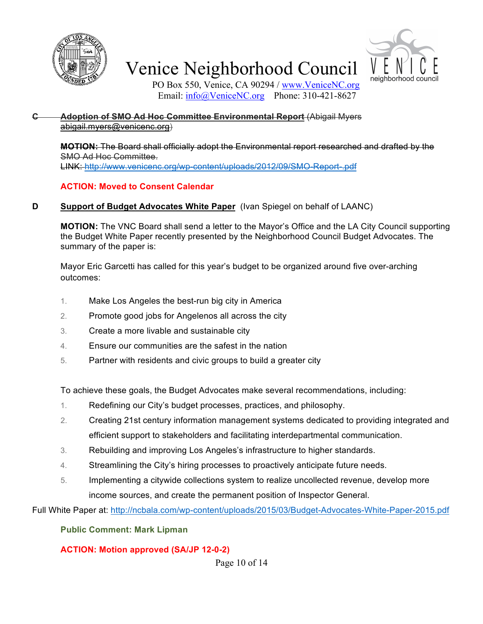



PO Box 550, Venice, CA 90294 / www.VeniceNC.org Email: info@VeniceNC.org Phone: 310-421-8627

#### **C Adoption of SMO Ad Hoc Committee Environmental Report** (Abigail Myers abigail.myers@venicenc.org)

**MOTION:** The Board shall officially adopt the Environmental report researched and drafted by the SMO Ad Hoc Committee. LINK: http://www.venicenc.org/wp-content/uploads/2012/09/SMO-Report-.pdf

### **ACTION: Moved to Consent Calendar**

### **D Support of Budget Advocates White Paper** (Ivan Spiegel on behalf of LAANC)

**MOTION:** The VNC Board shall send a letter to the Mayor's Office and the LA City Council supporting the Budget White Paper recently presented by the Neighborhood Council Budget Advocates. The summary of the paper is:

Mayor Eric Garcetti has called for this year's budget to be organized around five over-arching outcomes:

- 1. Make Los Angeles the best-run big city in America
- 2. Promote good jobs for Angelenos all across the city
- 3. Create a more livable and sustainable city
- 4. Ensure our communities are the safest in the nation
- 5. Partner with residents and civic groups to build a greater city

To achieve these goals, the Budget Advocates make several recommendations, including:

- 1. Redefining our City's budget processes, practices, and philosophy.
- 2. Creating 21st century information management systems dedicated to providing integrated and efficient support to stakeholders and facilitating interdepartmental communication.
- 3. Rebuilding and improving Los Angeles's infrastructure to higher standards.
- 4. Streamlining the City's hiring processes to proactively anticipate future needs.
- 5. Implementing a citywide collections system to realize uncollected revenue, develop more income sources, and create the permanent position of Inspector General.

Full White Paper at: http://ncbala.com/wp-content/uploads/2015/03/Budget-Advocates-White-Paper-2015.pdf

### **Public Comment: Mark Lipman**

### **ACTION: Motion approved (SA/JP 12-0-2)**

Page 10 of 14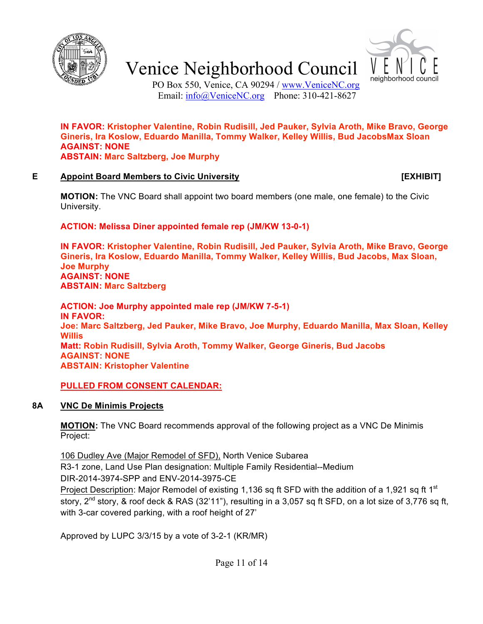



PO Box 550, Venice, CA 90294 / www.VeniceNC.org Email: info@VeniceNC.org Phone: 310-421-8627

**IN FAVOR: Kristopher Valentine, Robin Rudisill, Jed Pauker, Sylvia Aroth, Mike Bravo, George Gineris, Ira Koslow, Eduardo Manilla, Tommy Walker, Kelley Willis, Bud JacobsMax Sloan AGAINST: NONE ABSTAIN: Marc Saltzberg, Joe Murphy**

#### **E Appoint Board Members to Civic University [EXHIBIT]**

**MOTION:** The VNC Board shall appoint two board members (one male, one female) to the Civic University.

**ACTION: Melissa Diner appointed female rep (JM/KW 13-0-1)**

**IN FAVOR: Kristopher Valentine, Robin Rudisill, Jed Pauker, Sylvia Aroth, Mike Bravo, George Gineris, Ira Koslow, Eduardo Manilla, Tommy Walker, Kelley Willis, Bud Jacobs, Max Sloan, Joe Murphy AGAINST: NONE ABSTAIN: Marc Saltzberg**

**ACTION: Joe Murphy appointed male rep (JM/KW 7-5-1) IN FAVOR: Joe: Marc Saltzberg, Jed Pauker, Mike Bravo, Joe Murphy, Eduardo Manilla, Max Sloan, Kelley Willis Matt: Robin Rudisill, Sylvia Aroth, Tommy Walker, George Gineris, Bud Jacobs AGAINST: NONE ABSTAIN: Kristopher Valentine**

### **PULLED FROM CONSENT CALENDAR:**

### **8A VNC De Minimis Projects**

**MOTION:** The VNC Board recommends approval of the following project as a VNC De Minimis Project:

106 Dudley Ave (Major Remodel of SFD), North Venice Subarea R3-1 zone, Land Use Plan designation: Multiple Family Residential--Medium DIR-2014-3974-SPP and ENV-2014-3975-CE Project Description: Major Remodel of existing 1,136 sq ft SFD with the addition of a 1,921 sq ft 1<sup>st</sup> story, 2<sup>nd</sup> story, & roof deck & RAS (32'11"), resulting in a 3,057 sq ft SFD, on a lot size of 3,776 sq ft, with 3-car covered parking, with a roof height of 27'

Approved by LUPC 3/3/15 by a vote of 3-2-1 (KR/MR)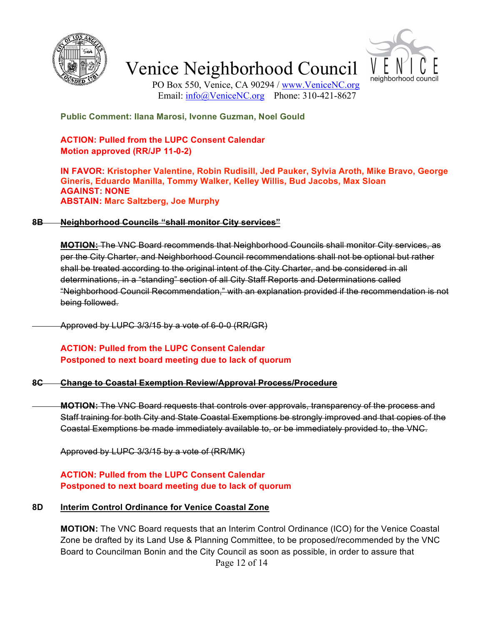



PO Box 550, Venice, CA 90294 / www.VeniceNC.org Email:  $\frac{info(@)$ VeniceNC.org Phone: 310-421-8627

**Public Comment: Ilana Marosi, Ivonne Guzman, Noel Gould**

### **ACTION: Pulled from the LUPC Consent Calendar Motion approved (RR/JP 11-0-2)**

**IN FAVOR: Kristopher Valentine, Robin Rudisill, Jed Pauker, Sylvia Aroth, Mike Bravo, George Gineris, Eduardo Manilla, Tommy Walker, Kelley Willis, Bud Jacobs, Max Sloan AGAINST: NONE ABSTAIN: Marc Saltzberg, Joe Murphy**

#### **8B Neighborhood Councils "shall monitor City services"**

**MOTION:** The VNC Board recommends that Neighborhood Councils shall monitor City services, as per the City Charter, and Neighborhood Council recommendations shall not be optional but rather shall be treated according to the original intent of the City Charter, and be considered in all determinations, in a "standing" section of all City Staff Reports and Determinations called "Neighborhood Council Recommendation," with an explanation provided if the recommendation is not being followed.

Approved by LUPC 3/3/15 by a vote of 6-0-0 (RR/GR)

### **ACTION: Pulled from the LUPC Consent Calendar Postponed to next board meeting due to lack of quorum**

#### **8C Change to Coastal Exemption Review/Approval Process/Procedure**

**MOTION:** The VNC Board requests that controls over approvals, transparency of the process and Staff training for both City and State Coastal Exemptions be strongly improved and that copies of the Coastal Exemptions be made immediately available to, or be immediately provided to, the VNC.

Approved by LUPC 3/3/15 by a vote of (RR/MK)

### **ACTION: Pulled from the LUPC Consent Calendar Postponed to next board meeting due to lack of quorum**

#### **8D Interim Control Ordinance for Venice Coastal Zone**

Page 12 of 14 **MOTION:** The VNC Board requests that an Interim Control Ordinance (ICO) for the Venice Coastal Zone be drafted by its Land Use & Planning Committee, to be proposed/recommended by the VNC Board to Councilman Bonin and the City Council as soon as possible, in order to assure that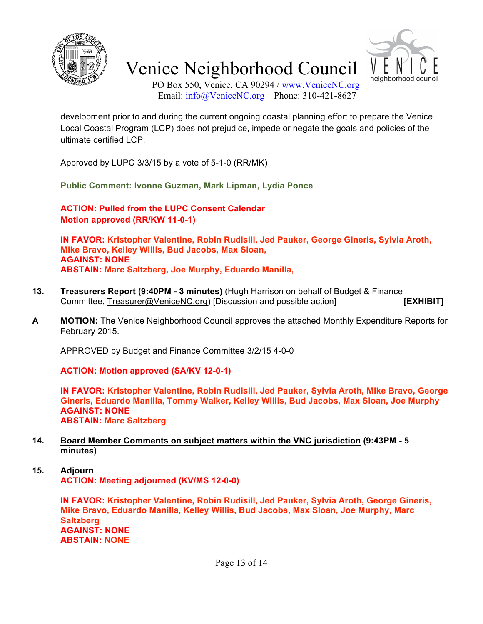



PO Box 550, Venice, CA 90294 / www.VeniceNC.org Email: info@VeniceNC.org Phone: 310-421-8627

development prior to and during the current ongoing coastal planning effort to prepare the Venice Local Coastal Program (LCP) does not prejudice, impede or negate the goals and policies of the ultimate certified LCP.

Approved by LUPC 3/3/15 by a vote of 5-1-0 (RR/MK)

**Public Comment: Ivonne Guzman, Mark Lipman, Lydia Ponce**

**ACTION: Pulled from the LUPC Consent Calendar Motion approved (RR/KW 11-0-1)**

**IN FAVOR: Kristopher Valentine, Robin Rudisill, Jed Pauker, George Gineris, Sylvia Aroth, Mike Bravo, Kelley Willis, Bud Jacobs, Max Sloan, AGAINST: NONE ABSTAIN: Marc Saltzberg, Joe Murphy, Eduardo Manilla,**

- **13. Treasurers Report (9:40PM - 3 minutes)** (Hugh Harrison on behalf of Budget & Finance Committee, Treasurer@VeniceNC.org) [Discussion and possible action] **[EXHIBIT]**
- **A MOTION:** The Venice Neighborhood Council approves the attached Monthly Expenditure Reports for February 2015.

APPROVED by Budget and Finance Committee 3/2/15 4-0-0

**ACTION: Motion approved (SA/KV 12-0-1)**

**IN FAVOR: Kristopher Valentine, Robin Rudisill, Jed Pauker, Sylvia Aroth, Mike Bravo, George Gineris, Eduardo Manilla, Tommy Walker, Kelley Willis, Bud Jacobs, Max Sloan, Joe Murphy AGAINST: NONE ABSTAIN: Marc Saltzberg**

- **14. Board Member Comments on subject matters within the VNC jurisdiction (9:43PM - 5 minutes)**
- **15. Adjourn ACTION: Meeting adjourned (KV/MS 12-0-0)**

**IN FAVOR: Kristopher Valentine, Robin Rudisill, Jed Pauker, Sylvia Aroth, George Gineris, Mike Bravo, Eduardo Manilla, Kelley Willis, Bud Jacobs, Max Sloan, Joe Murphy, Marc Saltzberg AGAINST: NONE ABSTAIN: NONE**